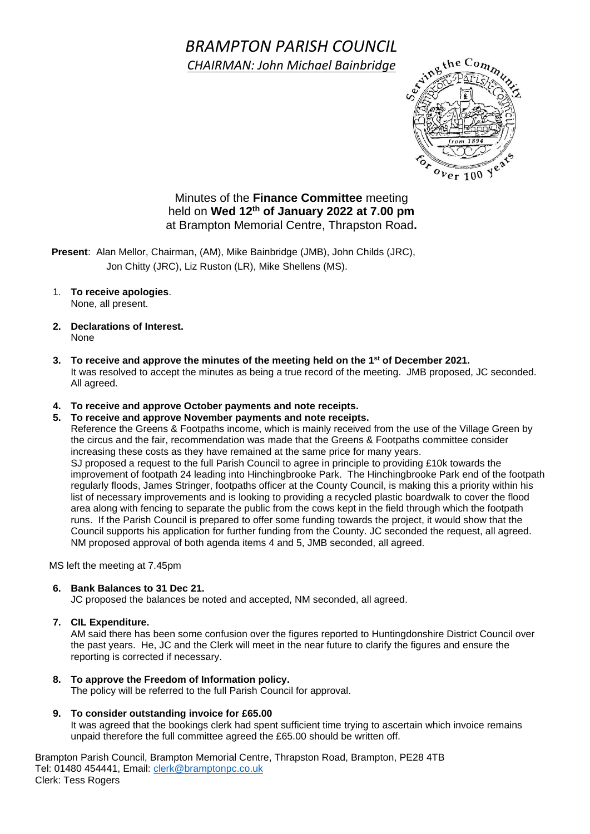## *BRAMPTON PARISH COUNCIL CHAIRMAN: John Michael Bainbridge*



### Minutes of the **Finance Committee** meeting held on **Wed 12th of January 2022 at 7.00 pm** at Brampton Memorial Centre, Thrapston Road**.**

 **Present**: Alan Mellor, Chairman, (AM), Mike Bainbridge (JMB), John Childs (JRC), Jon Chitty (JRC), Liz Ruston (LR), Mike Shellens (MS).

- 1. **To receive apologies**. None, all present.
- **2. Declarations of Interest.** None
- **3. To receive and approve the minutes of the meeting held on the 1 st of December 2021.** It was resolved to accept the minutes as being a true record of the meeting. JMB proposed, JC seconded. All agreed.
- **4. To receive and approve October payments and note receipts.**
- **5. To receive and approve November payments and note receipts.**

Reference the Greens & Footpaths income, which is mainly received from the use of the Village Green by the circus and the fair, recommendation was made that the Greens & Footpaths committee consider increasing these costs as they have remained at the same price for many years. SJ proposed a request to the full Parish Council to agree in principle to providing £10k towards the improvement of footpath 24 leading into Hinchingbrooke Park. The Hinchingbrooke Park end of the footpath regularly floods, James Stringer, footpaths officer at the County Council, is making this a priority within his list of necessary improvements and is looking to providing a recycled plastic boardwalk to cover the flood area along with fencing to separate the public from the cows kept in the field through which the footpath runs. If the Parish Council is prepared to offer some funding towards the project, it would show that the Council supports his application for further funding from the County. JC seconded the request, all agreed. NM proposed approval of both agenda items 4 and 5, JMB seconded, all agreed.

MS left the meeting at 7.45pm

#### **6. Bank Balances to 31 Dec 21.**

JC proposed the balances be noted and accepted, NM seconded, all agreed.

**7. CIL Expenditure.**

AM said there has been some confusion over the figures reported to Huntingdonshire District Council over the past years. He, JC and the Clerk will meet in the near future to clarify the figures and ensure the reporting is corrected if necessary.

- **8. To approve the Freedom of Information policy.** The policy will be referred to the full Parish Council for approval.
- **9. To consider outstanding invoice for £65.00** It was agreed that the bookings clerk had spent sufficient time trying to ascertain which invoice remains unpaid therefore the full committee agreed the £65.00 should be written off.

Brampton Parish Council, Brampton Memorial Centre, Thrapston Road, Brampton, PE28 4TB Tel: 01480 454441, Email: [clerk@bramptonpc.co.uk](mailto:clerk@bramptonpc.co.uk) Clerk: Tess Rogers